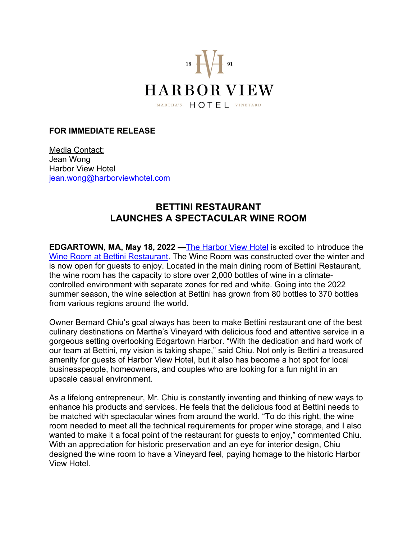

## **FOR IMMEDIATE RELEASE**

Media Contact: Jean Wong Harbor View Hotel iean.wong@harborviewhotel.com

## **BETTINI RESTAURANT LAUNCHES A SPECTACULAR WINE ROOM**

**EDGARTOWN, MA, May 18, 2022** — The Harbor View Hotel is excited to introduce the Wine Room at Bettini Restaurant. The Wine Room was constructed over the winter and is now open for guests to enjoy. Located in the main dining room of Bettini Restaurant, the wine room has the capacity to store over 2,000 bottles of wine in a climatecontrolled environment with separate zones for red and white. Going into the 2022 summer season, the wine selection at Bettini has grown from 80 bottles to 370 bottles from various regions around the world.

Owner Bernard Chiu's goal always has been to make Bettini restaurant one of the best culinary destinations on Martha's Vineyard with delicious food and attentive service in a gorgeous setting overlooking Edgartown Harbor. "With the dedication and hard work of our team at Bettini, my vision is taking shape," said Chiu. Not only is Bettini a treasured amenity for guests of Harbor View Hotel, but it also has become a hot spot for local businesspeople, homeowners, and couples who are looking for a fun night in an upscale casual environment.

As a lifelong entrepreneur, Mr. Chiu is constantly inventing and thinking of new ways to enhance his products and services. He feels that the delicious food at Bettini needs to be matched with spectacular wines from around the world. "To do this right, the wine room needed to meet all the technical requirements for proper wine storage, and I also wanted to make it a focal point of the restaurant for guests to enjoy," commented Chiu. With an appreciation for historic preservation and an eye for interior design, Chiu designed the wine room to have a Vineyard feel, paying homage to the historic Harbor View Hotel.